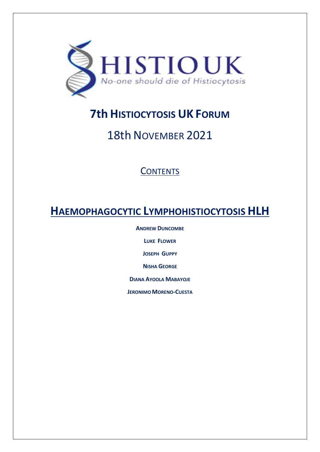

# **7th HISTIOCYTOSIS UK FORUM**

# 18th NOVEMBER 2021

# **CONTENTS**

# **HAEMOPHAGOCYTIC LYMPHOHISTIOCYTOSIS HLH**

**ANDREW DUNCOMBE**

**LUKE FLOWER**

**JOSEPH GUPPY**

**NISHA GEORGE**

**DIANA AYOOLA MABAYOJE**

**JERONIMOMORENO-CUESTA**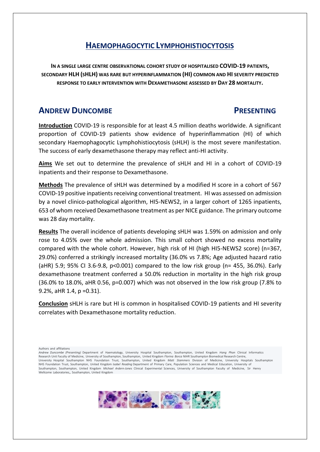**IN A SINGLE LARGE CENTRE OBSERVATIONAL COHORT STUDY OF HOSPITALISED COVID-19 PATIENTS, SECONDARY HLH (SHLH) WAS RARE BUT HYPERINFLAMMATION (HI) COMMON AND HI SEVERITY PREDICTED RESPONSE TO EARLY INTERVENTION WITH DEXAMETHASONE ASSESSED BY DAY 28 MORTALITY.**

# **ANDREW DUNCOMBE PRESENTING**

**Introduction** COVID-19 is responsible for at least 4.5 million deaths worldwide. A significant proportion of COVID-19 patients show evidence of hyperinflammation (HI) of which secondary Haemophagocytic Lymphohistiocytosis (sHLH) is the most severe manifestation. The success of early dexamethasone therapy may reflect anti-HI activity.

**Aims** We set out to determine the prevalence of sHLH and HI in a cohort of COVID-19 inpatients and their response to Dexamethasone.

**Methods** The prevalence of sHLH was determined by a modified H score in a cohort of 567 COVID-19 positive inpatients receiving conventional treatment. HI was assessed on admission by a novel clinico-pathological algorithm, HI5-NEWS2, in a larger cohort of 1265 inpatients, 653 of whom received Dexamethasone treatment as per NICE guidance. The primary outcome was 28 day mortality.

**Results** The overall incidence of patients developing sHLH was 1.59% on admission and only rose to 4.05% over the whole admission. This small cohort showed no excess mortality compared with the whole cohort. However, high risk of HI (high HI5-NEWS2 score) (n=367, 29.0%) conferred a strikingly increased mortality (36.0% vs 7.8%; Age adjusted hazard ratio (aHR) 5.9; 95% CI 3.6-9.8, p<0.001) compared to the low risk group (n= 455, 36.0%). Early dexamethasone treatment conferred a 50.0% reduction in mortality in the high risk group (36.0% to 18.0%, aHR 0.56, p=0.007) which was not observed in the low risk group (7.8% to 9.2%, aHR 1.4, p =0.31).

**Conclusion** sHLH is rare but HI is common in hospitalised COVID-19 patients and HI severity correlates with Dexamethasone mortality reduction.

Authors and affiliations

*Andrew Duncombe (Presenting)* Department of Haematology, University Hospital Southampton, Southampton, United Kingdom *Hang Phan* Clinical Informatics Research Unit Faculty of Medicine, University of Southampton, Southampton, United Kingdom *Florina Borca* NIHR Southampton Biomedical Research Centre,<br>University Hospital Southampton NHS Foundation Trust, Southampton, Unit NHS Foundation Trust, Southampton, United Kingdom *Isabel Reading* Department of Primary Care, Population Sciences and Medical Education, University of Southampton, Southampton, United Kingdom *Michael Ardern-Jones* Clinical Experimental Sciences, University of Southampton Faculty of Medicine, Sir Henry Wellcome Laboratories,, Southampton, United Kingdom

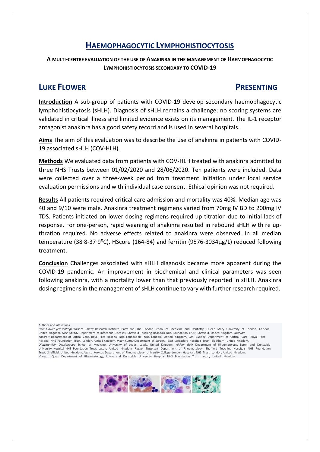**A MULTI-CENTRE EVALUATION OF THE USE OF ANAKINRA IN THE MANAGEMENT OF HAEMOPHAGOCYTIC LYMPHOHISTIOCYTOSIS SECONDARY TO COVID-19**

# **LUKE FLOWER PRESENTING**

**Introduction** A sub-group of patients with COVID-19 develop secondary haemophagocytic lymphohistiocytosis (sHLH). Diagnosis of sHLH remains a challenge; no scoring systems are validated in critical illness and limited evidence exists on its management. The IL-1 receptor antagonist anakinra has a good safety record and is used in several hospitals.

**Aims** The aim of this evaluation was to describe the use of anakinra in patients with COVID-19 associated sHLH (COV-HLH).

**Methods** We evaluated data from patients with COV-HLH treated with anakinra admitted to three NHS Trusts between 01/02/2020 and 28/06/2020. Ten patients were included. Data were collected over a three-week period from treatment initiation under local service evaluation permissions and with individual case consent. Ethical opinion was not required.

**Results** All patients required critical care admission and mortality was 40%. Median age was 40 and 9/10 were male. Anakinra treatment regimens varied from 70mg IV BD to 200mg IV TDS. Patients initiated on lower dosing regimens required up-titration due to initial lack of response. For one-person, rapid weaning of anakinra resulted in rebound sHLH with re uptitration required. No adverse effects related to anakinra were observed. In all median temperature (38·8-37·9⁰C), HScore (164-84) and ferritin (9576-3034µg/L) reduced following treatment.

**Conclusion** Challenges associated with sHLH diagnosis became more apparent during the COVID-19 pandemic. An improvement in biochemical and clinical parameters was seen following anakinra, with a mortality lower than that previously reported in sHLH. Anakinra dosing regimensin the management of sHLH continue to vary with further research required.

Authors and affiliations

*Luke Flower (Presenting)* William Harvey Research Institute, Barts and The London School of Medicine and Dentistry, Queen Mary University of London, Lo ndon, United Kingdom. *Nick Laundy* Department of Infectious Diseases, Sheffield Teaching Hospitals NHS Foundation Trust, Sheffield, United Kingdom. *Maryam Khosravi* Department of Critical Care, Royal Free Hospital NHS Foundation Trust, London, United Kingdom. *Jim Buckley* Department of Critical Care, Royal Free Hospital NHS Foundation Trust, London, United Kingdom. *Inder Kumar* Department of Surgery, East Lancashire Hospitals Trust, Blackburn, United Kingdom. *Oluwatomisin Otenigbagbe* School of Medicine, University of Leeds, Leeds, United Kingdom. *Aislinn Gale* Department of Rheumatology, Luton and Dunstable University Hospital NHS Foundation Trust, Luton, United Kingdom *Rachel Tattersall* Department of Rheumatology, Sheffield Teaching Hospitals NHS Foundation Trust, Sheffield, United Kingdom. *Jessica Manson* Department of Rheumatology, University College London Hospitals NHS Trust, London, United Kingdom. *Vanessa Quick* Department of Rheumatology, Luton and Dunstable University Hospital NHS Foundation Trust, Luton, United Kingdom.

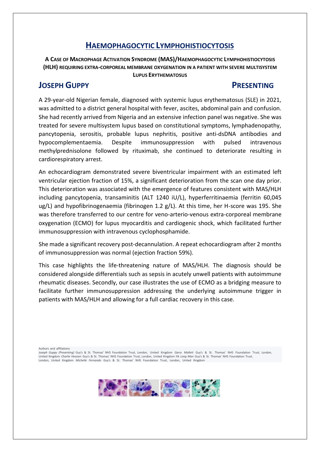**A CASE OF MACROPHAGE ACTIVATION SYNDROME (MAS)/HAEMOPHAGOCYTIC LYMPHOHISTIOCYTOSIS (HLH) REQUIRING EXTRA-CORPOREAL MEMBRANE OXYGENATION IN A PATIENT WITH SEVERE MULTISYSTEM LUPUS ERYTHEMATOSUS**

# **JOSEPH GUPPY PRESENTING**

A 29-year-old Nigerian female, diagnosed with systemic lupus erythematosus (SLE) in 2021, was admitted to a district general hospital with fever, ascites, abdominal pain and confusion. She had recently arrived from Nigeria and an extensive infection panel was negative. She was treated for severe multisystem lupus based on constitutional symptoms, lymphadenopathy, pancytopenia, serositis, probable lupus nephritis, positive anti-dsDNA antibodies and hypocomplementaemia. Despite immunosuppression with pulsed intravenous methylprednisolone followed by rituximab, she continued to deteriorate resulting in cardiorespiratory arrest.

An echocardiogram demonstrated severe biventricular impairment with an estimated left ventricular ejection fraction of 15%, a significant deterioration from the scan one day prior. This deterioration was associated with the emergence of features consistent with MAS/HLH including pancytopenia, transaminitis (ALT 1240 iU/L), hyperferritinaemia (ferritin 60,045 ug/L) and hypofibrinogenaemia (fibrinogen 1.2 g/L). At this time, her H-score was 195. She was therefore transferred to our centre for veno-arterio-venous extra-corporeal membrane oxygenation (ECMO) for lupus myocarditis and cardiogenic shock, which facilitated further immunosuppression with intravenous cyclophosphamide.

She made a significant recovery post-decannulation. A repeat echocardiogram after 2 months of immunosuppression was normal (ejection fraction 59%).

This case highlights the life-threatening nature of MAS/HLH. The diagnosis should be considered alongside differentials such as sepsis in acutely unwell patients with autoimmune rheumatic diseases. Secondly, our case illustrates the use of ECMO as a bridging measure to facilitate further immunosuppression addressing the underlying autoimmune trigger in patients with MAS/HLH and allowing for a full cardiac recovery in this case.

Authors and affiliations

*Joseph Guppy (Presenting)* Guy's & St. Thomas' NHS Foundation Trust, London, United Kingdom *Garry Mallett* Guy's & St. Thomas' NHS Foundation Trust, London, United Kingdom *Charlie Hession* Guy's & St. Thomas' NHS Foundation Trust, London, United Kingdom *Yik Long Man* Guy's & St. Thomas' NHS Foundation Trust, London, United Kingdom *Michelle Fernando* Guy's & St. Thomas' NHS Foundation Trust, London, United Kingdom

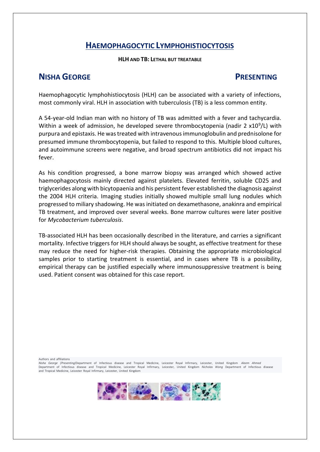### **HLH AND TB: LETHAL BUT TREATABLE**

# **NISHA GEORGE PRESENTING**

Haemophagocytic lymphohistiocytosis (HLH) can be associated with a variety of infections, most commonly viral. HLH in association with tuberculosis (TB) is a less common entity.

A 54-year-old Indian man with no history of TB was admitted with a fever and tachycardia. Within a week of admission, he developed severe thrombocytopenia (nadir 2 x10<sup>9</sup>/L) with purpura and epistaxis. He was treated with intravenous immunoglobulin and prednisolone for presumed immune thrombocytopenia, but failed to respond to this. Multiple blood cultures, and autoimmune screens were negative, and broad spectrum antibiotics did not impact his fever.

As his condition progressed, a bone marrow biopsy was arranged which showed active haemophagocytosis mainly directed against platelets. Elevated ferritin, soluble CD25 and triglycerides along with bicytopaenia and his persistent fever established the diagnosis against the 2004 HLH criteria. Imaging studies initially showed multiple small lung nodules which progressed to miliary shadowing. He was initiated on dexamethasone, anakinra and empirical TB treatment, and improved over several weeks. Bone marrow cultures were later positive for *Mycobacterium tuberculosis*.

TB-associated HLH has been occasionally described in the literature, and carries a significant mortality. Infective triggers for HLH should always be sought, as effective treatment for these may reduce the need for higher-risk therapies. Obtaining the appropriate microbiological samples prior to starting treatment is essential, and in cases where TB is a possibility, empirical therapy can be justified especially where immunosuppressive treatment is being used. Patient consent was obtained for this case report.

Authors and affiliations

*Nisha George (Presenting)*Department of Infectious disease and Tropical Medicine, Leicester Royal Infirmary, Leicester, United Kingdom *Aleem Ahmed* Department of Infectious disease and Tropical Medicine, Leicester Royal Infirmary, Leicester, United Kingdom *Nicholas Wong* Department of Infectious disease and Tropical Medicine, Leicester Royal Infirmary, Leicester, United Kingdom

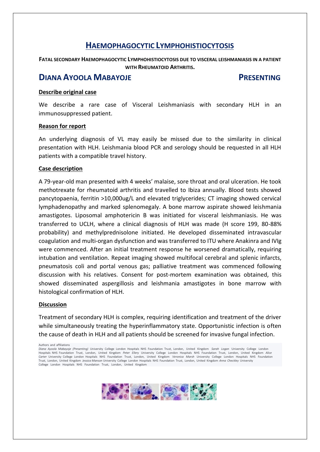**FATAL SECONDARY HAEMOPHAGOCYTIC LYMPHOHISTIOCYTOSIS DUE TO VISCERAL LEISHMANIASIS IN A PATIENT WITH RHEUMATOID ARTHRITIS.**

## **DIANA AYOOLA MABAYOJE PRESENTING**

### **Describe original case**

We describe a rare case of Visceral Leishmaniasis with secondary HLH in an immunosuppressed patient.

### **Reason for report**

An underlying diagnosis of VL may easily be missed due to the similarity in clinical presentation with HLH. Leishmania blood PCR and serology should be requested in all HLH patients with a compatible travel history.

### **Case description**

A 79-year-old man presented with 4 weeks' malaise, sore throat and oral ulceration. He took methotrexate for rheumatoid arthritis and travelled to Ibiza annually. Blood tests showed pancytopaenia, ferritin >10,000ug/L and elevated triglycerides; CT imaging showed cervical lymphadenopathy and marked splenomegaly. A bone marrow aspirate showed leishmania amastigotes. Liposomal amphotericin B was initiated for visceral leishmaniasis. He was transferred to UCLH, where a clinical diagnosis of HLH was made (H score 199, 80-88% probability) and methylprednisolone initiated. He developed disseminated intravascular coagulation and multi-organ dysfunction and was transferred to ITU where Anakinra and IVIg were commenced. After an initial treatment response he worsened dramatically, requiring intubation and ventilation. Repeat imaging showed multifocal cerebral and splenic infarcts, pneumatosis coli and portal venous gas; palliative treatment was commenced following discussion with his relatives. Consent for post-mortem examination was obtained, this showed disseminated aspergillosis and leishmania amastigotes in bone marrow with histological confirmation of HLH.

### **Discussion**

Treatment of secondary HLH is complex, requiring identification and treatment of the driver while simultaneously treating the hyperinflammatory state. Opportunistic infection is often the cause of death in HLH and all patients should be screened for invasive fungal infection.

Authors and affiliations

*Diana Ayoola Mabayoje (Presenting)* University College London Hospitals NHS Foundation Trust, London, United Kingdom *Sarah Logan* University College London Hospitals NHS Foundation Trust, London, United Kingdom *Peter Ellery* University College London Hospitals NHS Foundation Trust, London, United Kingdom *Alice Carter* University College London Hospitals NHS Foundation Trust, London, United Kingdom *Veronica Marsh* University College London Hospitals NHS Foundation Trust, London, United Kingdom *Jessica Manson* University College London Hospitals NHS Foundation Trust, London, United Kingdom *Anna Checkley* University College London Hospitals NHS Foundation Trust, London, United Kingdom